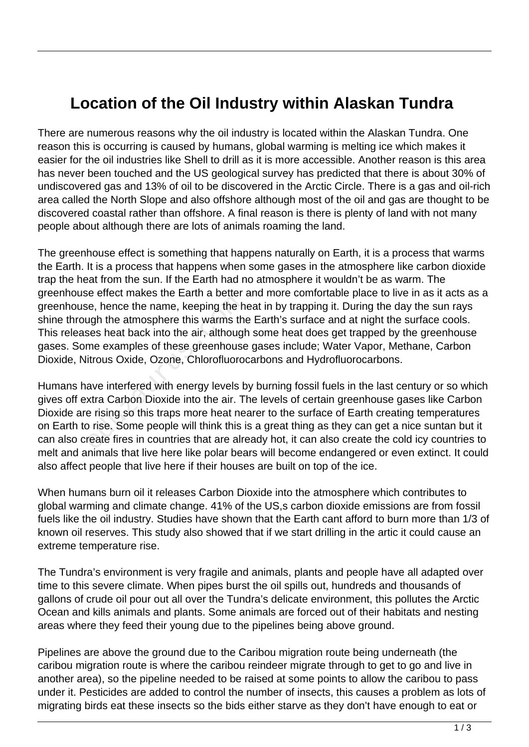## **Location of the Oil Industry within Alaskan Tundra**

There are numerous reasons why the oil industry is located within the Alaskan Tundra. One reason this is occurring is caused by humans, global warming is melting ice which makes it easier for the oil industries like Shell to drill as it is more accessible. Another reason is this area has never been touched and the US geological survey has predicted that there is about 30% of undiscovered gas and 13% of oil to be discovered in the Arctic Circle. There is a gas and oil-rich area called the North Slope and also offshore although most of the oil and gas are thought to be discovered coastal rather than offshore. A final reason is there is plenty of land with not many people about although there are lots of animals roaming the land.

The greenhouse effect is something that happens naturally on Earth, it is a process that warms the Earth. It is a process that happens when some gases in the atmosphere like carbon dioxide trap the heat from the sun. If the Earth had no atmosphere it wouldn't be as warm. The greenhouse effect makes the Earth a better and more comfortable place to live in as it acts as a greenhouse, hence the name, keeping the heat in by trapping it. During the day the sun rays shine through the atmosphere this warms the Earth's surface and at night the surface cools. This releases heat back into the air, although some heat does get trapped by the greenhouse gases. Some examples of these greenhouse gases include; Water Vapor, Methane, Carbon Dioxide, Nitrous Oxide, Ozone, Chlorofluorocarbons and Hydrofluorocarbons.

Humans have interfered with energy levels by burning fossil fuels in the last century or so which gives off extra Carbon Dioxide into the air. The levels of certain greenhouse gases like Carbon Dioxide are rising so this traps more heat nearer to the surface of Earth creating temperatures on Earth to rise. Some people will think this is a great thing as they can get a nice suntan but it can also create fires in countries that are already hot, it can also create the cold icy countries to melt and animals that live here like polar bears will become endangered or even extinct. It could also affect people that live here if their houses are built on top of the ice. e, hence the name, keeping the h<br>ugh the atmosphere this warms th<br>ses heat back into the air, although<br>me examples of these greenhouse<br>itrous Oxide, Ozone, Chlorofluoro<br>ave interfered with energy levels b<br>xtra Carbon Dioxi

When humans burn oil it releases Carbon Dioxide into the atmosphere which contributes to global warming and climate change. 41% of the US,s carbon dioxide emissions are from fossil fuels like the oil industry. Studies have shown that the Earth cant afford to burn more than 1/3 of known oil reserves. This study also showed that if we start drilling in the artic it could cause an extreme temperature rise.

The Tundra's environment is very fragile and animals, plants and people have all adapted over time to this severe climate. When pipes burst the oil spills out, hundreds and thousands of gallons of crude oil pour out all over the Tundra's delicate environment, this pollutes the Arctic Ocean and kills animals and plants. Some animals are forced out of their habitats and nesting areas where they feed their young due to the pipelines being above ground.

Pipelines are above the ground due to the Caribou migration route being underneath (the caribou migration route is where the caribou reindeer migrate through to get to go and live in another area), so the pipeline needed to be raised at some points to allow the caribou to pass under it. Pesticides are added to control the number of insects, this causes a problem as lots of migrating birds eat these insects so the bids either starve as they don't have enough to eat or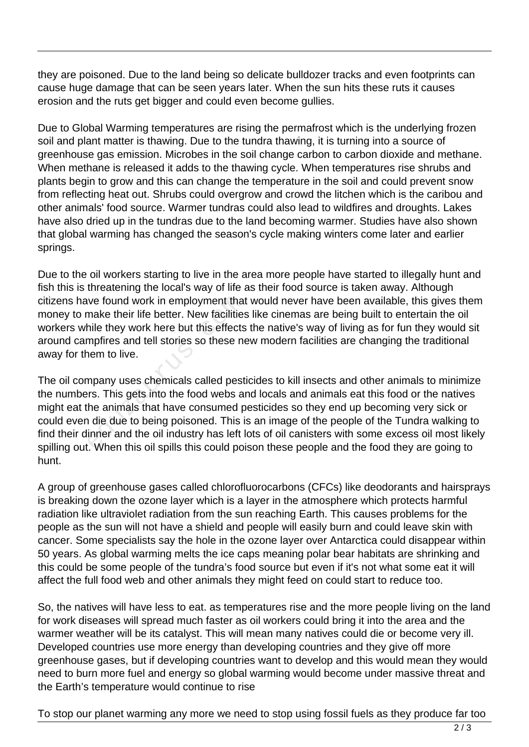they are poisoned. Due to the land being so delicate bulldozer tracks and even footprints can cause huge damage that can be seen years later. When the sun hits these ruts it causes erosion and the ruts get bigger and could even become gullies.

Due to Global Warming temperatures are rising the permafrost which is the underlying frozen soil and plant matter is thawing. Due to the tundra thawing, it is turning into a source of greenhouse gas emission. Microbes in the soil change carbon to carbon dioxide and methane. When methane is released it adds to the thawing cycle. When temperatures rise shrubs and plants begin to grow and this can change the temperature in the soil and could prevent snow from reflecting heat out. Shrubs could overgrow and crowd the litchen which is the caribou and other animals' food source. Warmer tundras could also lead to wildfires and droughts. Lakes have also dried up in the tundras due to the land becoming warmer. Studies have also shown that global warming has changed the season's cycle making winters come later and earlier springs.

Due to the oil workers starting to live in the area more people have started to illegally hunt and fish this is threatening the local's way of life as their food source is taken away. Although citizens have found work in employment that would never have been available, this gives them money to make their life better. New facilities like cinemas are being built to entertain the oil workers while they work here but this effects the native's way of living as for fun they would sit around campfires and tell stories so these new modern facilities are changing the traditional away for them to live.

The oil company uses chemicals called pesticides to kill insects and other animals to minimize the numbers. This gets into the food webs and locals and animals eat this food or the natives might eat the animals that have consumed pesticides so they end up becoming very sick or could even die due to being poisoned. This is an image of the people of the Tundra walking to find their dinner and the oil industry has left lots of oil canisters with some excess oil most likely spilling out. When this oil spills this could poison these people and the food they are going to hunt. ive found work in employment that<br>make their life better. New facilities<br>hile they work here but this effects<br>mpfires and tell stories so these no<br>nem to live.<br>mpany uses chemicals called pest<br>rrs. This gets into the food

A group of greenhouse gases called chlorofluorocarbons (CFCs) like deodorants and hairsprays is breaking down the ozone layer which is a layer in the atmosphere which protects harmful radiation like ultraviolet radiation from the sun reaching Earth. This causes problems for the people as the sun will not have a shield and people will easily burn and could leave skin with cancer. Some specialists say the hole in the ozone layer over Antarctica could disappear within 50 years. As global warming melts the ice caps meaning polar bear habitats are shrinking and this could be some people of the tundra's food source but even if it's not what some eat it will affect the full food web and other animals they might feed on could start to reduce too.

So, the natives will have less to eat. as temperatures rise and the more people living on the land for work diseases will spread much faster as oil workers could bring it into the area and the warmer weather will be its catalyst. This will mean many natives could die or become very ill. Developed countries use more energy than developing countries and they give off more greenhouse gases, but if developing countries want to develop and this would mean they would need to burn more fuel and energy so global warming would become under massive threat and the Earth's temperature would continue to rise

To stop our planet warming any more we need to stop using fossil fuels as they produce far too